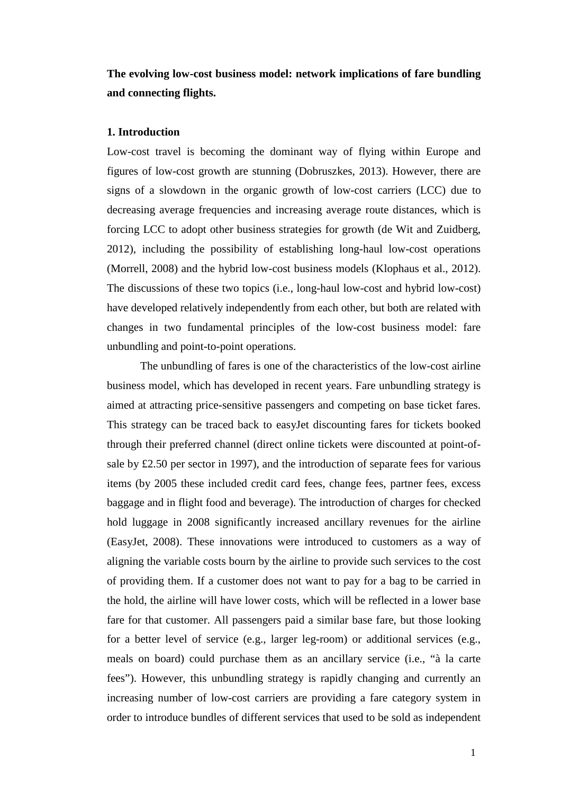**The evolving low-cost business model: network implications of fare bundling and connecting flights.** 

## **1. Introduction**

Low-cost travel is becoming the dominant way of flying within Europe and figures of low-cost growth are stunning (Dobruszkes, 2013). However, there are signs of a slowdown in the organic growth of low-cost carriers (LCC) due to decreasing average frequencies and increasing average route distances, which is forcing LCC to adopt other business strategies for growth (de Wit and Zuidberg, 2012), including the possibility of establishing long-haul low-cost operations (Morrell, 2008) and the hybrid low-cost business models (Klophaus et al., 2012). The discussions of these two topics (i.e., long-haul low-cost and hybrid low-cost) have developed relatively independently from each other, but both are related with changes in two fundamental principles of the low-cost business model: fare unbundling and point-to-point operations.

The unbundling of fares is one of the characteristics of the low-cost airline business model, which has developed in recent years. Fare unbundling strategy is aimed at attracting price-sensitive passengers and competing on base ticket fares. This strategy can be traced back to easyJet discounting fares for tickets booked through their preferred channel (direct online tickets were discounted at point-ofsale by £2.50 per sector in 1997), and the introduction of separate fees for various items (by 2005 these included credit card fees, change fees, partner fees, excess baggage and in flight food and beverage). The introduction of charges for checked hold luggage in 2008 significantly increased ancillary revenues for the airline (EasyJet, 2008). These innovations were introduced to customers as a way of aligning the variable costs bourn by the airline to provide such services to the cost of providing them. If a customer does not want to pay for a bag to be carried in the hold, the airline will have lower costs, which will be reflected in a lower base fare for that customer. All passengers paid a similar base fare, but those looking for a better level of service (e.g., larger leg-room) or additional services (e.g., meals on board) could purchase them as an ancillary service (i.e., "à la carte fees"). However, this unbundling strategy is rapidly changing and currently an increasing number of low-cost carriers are providing a fare category system in order to introduce bundles of different services that used to be sold as independent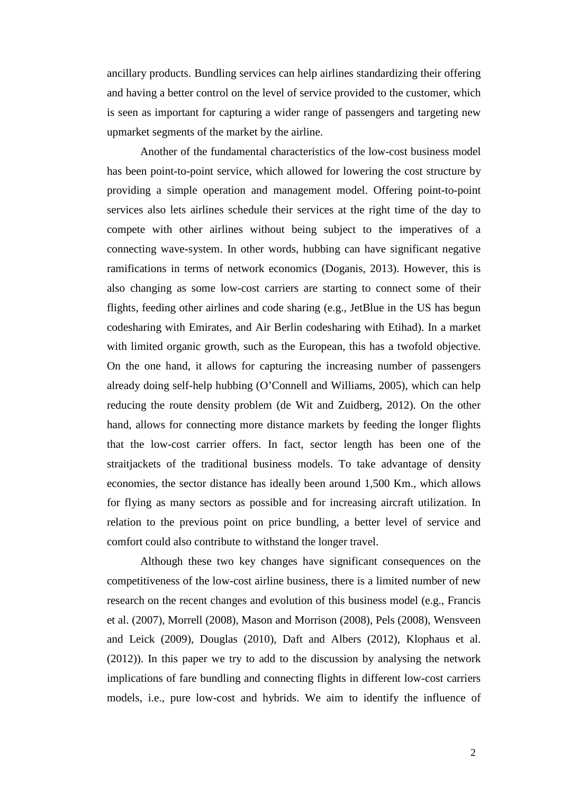ancillary products. Bundling services can help airlines standardizing their offering and having a better control on the level of service provided to the customer, which is seen as important for capturing a wider range of passengers and targeting new upmarket segments of the market by the airline.

Another of the fundamental characteristics of the low-cost business model has been point-to-point service, which allowed for lowering the cost structure by providing a simple operation and management model. Offering point-to-point services also lets airlines schedule their services at the right time of the day to compete with other airlines without being subject to the imperatives of a connecting wave-system. In other words, hubbing can have significant negative ramifications in terms of network economics (Doganis, 2013). However, this is also changing as some low-cost carriers are starting to connect some of their flights, feeding other airlines and code sharing (e.g., JetBlue in the US has begun codesharing with Emirates, and Air Berlin codesharing with Etihad). In a market with limited organic growth, such as the European, this has a twofold objective. On the one hand, it allows for capturing the increasing number of passengers already doing self-help hubbing (O'Connell and Williams, 2005), which can help reducing the route density problem (de Wit and Zuidberg, 2012). On the other hand, allows for connecting more distance markets by feeding the longer flights that the low-cost carrier offers. In fact, sector length has been one of the straitjackets of the traditional business models. To take advantage of density economies, the sector distance has ideally been around 1,500 Km., which allows for flying as many sectors as possible and for increasing aircraft utilization. In relation to the previous point on price bundling, a better level of service and comfort could also contribute to withstand the longer travel.

 Although these two key changes have significant consequences on the competitiveness of the low-cost airline business, there is a limited number of new research on the recent changes and evolution of this business model (e.g., Francis et al. (2007), Morrell (2008), Mason and Morrison (2008), Pels (2008), Wensveen and Leick (2009), Douglas (2010), Daft and Albers (2012), Klophaus et al. (2012)). In this paper we try to add to the discussion by analysing the network implications of fare bundling and connecting flights in different low-cost carriers models, i.e., pure low-cost and hybrids. We aim to identify the influence of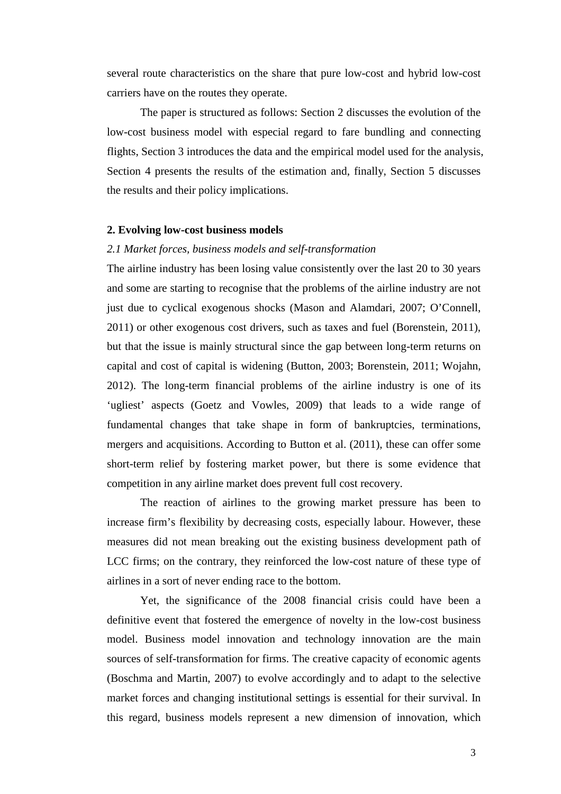several route characteristics on the share that pure low-cost and hybrid low-cost carriers have on the routes they operate.

The paper is structured as follows: Section 2 discusses the evolution of the low-cost business model with especial regard to fare bundling and connecting flights, Section 3 introduces the data and the empirical model used for the analysis, Section 4 presents the results of the estimation and, finally, Section 5 discusses the results and their policy implications.

## **2. Evolving low-cost business models**

## *2.1 Market forces, business models and self-transformation*

The airline industry has been losing value consistently over the last 20 to 30 years and some are starting to recognise that the problems of the airline industry are not just due to cyclical exogenous shocks (Mason and Alamdari, 2007; O'Connell, 2011) or other exogenous cost drivers, such as taxes and fuel (Borenstein, 2011), but that the issue is mainly structural since the gap between long-term returns on capital and cost of capital is widening (Button, 2003; Borenstein, 2011; Wojahn, 2012). The long-term financial problems of the airline industry is one of its 'ugliest' aspects (Goetz and Vowles, 2009) that leads to a wide range of fundamental changes that take shape in form of bankruptcies, terminations, mergers and acquisitions. According to Button et al. (2011), these can offer some short-term relief by fostering market power, but there is some evidence that competition in any airline market does prevent full cost recovery.

The reaction of airlines to the growing market pressure has been to increase firm's flexibility by decreasing costs, especially labour. However, these measures did not mean breaking out the existing business development path of LCC firms; on the contrary, they reinforced the low-cost nature of these type of airlines in a sort of never ending race to the bottom.

Yet, the significance of the 2008 financial crisis could have been a definitive event that fostered the emergence of novelty in the low-cost business model. Business model innovation and technology innovation are the main sources of self-transformation for firms. The creative capacity of economic agents (Boschma and Martin, 2007) to evolve accordingly and to adapt to the selective market forces and changing institutional settings is essential for their survival. In this regard, business models represent a new dimension of innovation, which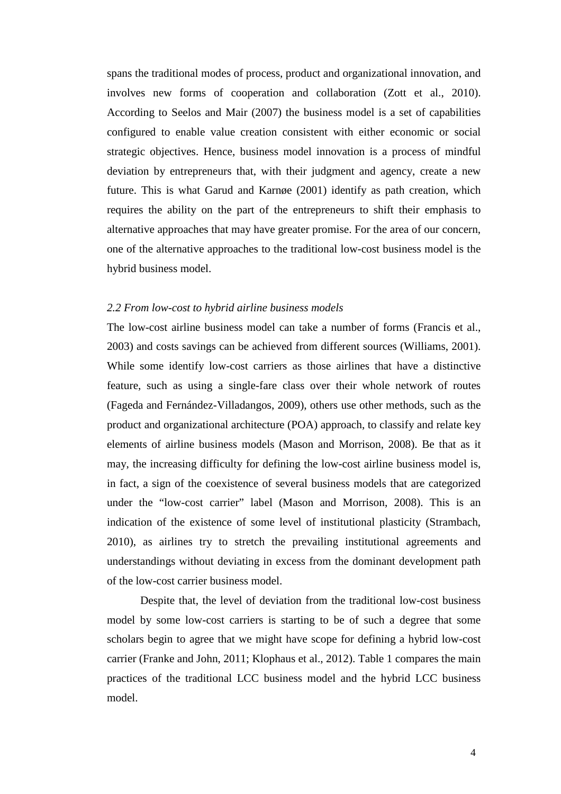spans the traditional modes of process, product and organizational innovation, and involves new forms of cooperation and collaboration (Zott et al., 2010). According to Seelos and Mair (2007) the business model is a set of capabilities configured to enable value creation consistent with either economic or social strategic objectives. Hence, business model innovation is a process of mindful deviation by entrepreneurs that, with their judgment and agency, create a new future. This is what Garud and Karnøe (2001) identify as path creation, which requires the ability on the part of the entrepreneurs to shift their emphasis to alternative approaches that may have greater promise. For the area of our concern, one of the alternative approaches to the traditional low-cost business model is the hybrid business model.

#### *2.2 From low-cost to hybrid airline business models*

The low-cost airline business model can take a number of forms (Francis et al., 2003) and costs savings can be achieved from different sources (Williams, 2001). While some identify low-cost carriers as those airlines that have a distinctive feature, such as using a single-fare class over their whole network of routes (Fageda and Fernández-Villadangos, 2009), others use other methods, such as the product and organizational architecture (POA) approach, to classify and relate key elements of airline business models (Mason and Morrison, 2008). Be that as it may, the increasing difficulty for defining the low-cost airline business model is, in fact, a sign of the coexistence of several business models that are categorized under the "low-cost carrier" label (Mason and Morrison, 2008). This is an indication of the existence of some level of institutional plasticity (Strambach, 2010), as airlines try to stretch the prevailing institutional agreements and understandings without deviating in excess from the dominant development path of the low-cost carrier business model.

 Despite that, the level of deviation from the traditional low-cost business model by some low-cost carriers is starting to be of such a degree that some scholars begin to agree that we might have scope for defining a hybrid low-cost carrier (Franke and John, 2011; Klophaus et al., 2012). Table 1 compares the main practices of the traditional LCC business model and the hybrid LCC business model.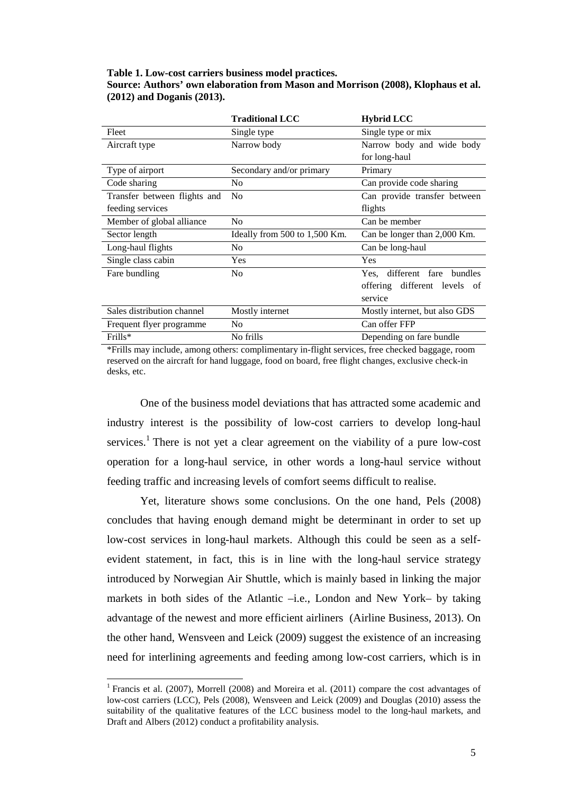## **Table 1. Low-cost carriers business model practices. Source: Authors' own elaboration from Mason and Morrison (2008), Klophaus et al. (2012) and Doganis (2013).**

|                              | <b>Traditional LCC</b><br><b>Hybrid LCC</b>      |                                          |  |
|------------------------------|--------------------------------------------------|------------------------------------------|--|
| Fleet                        | Single type                                      | Single type or mix                       |  |
| Aircraft type                | Narrow body                                      | Narrow body and wide body                |  |
|                              |                                                  | for long-haul                            |  |
| Type of airport              | Secondary and/or primary                         | Primary                                  |  |
| Code sharing                 | No                                               | Can provide code sharing                 |  |
| Transfer between flights and | N <sub>0</sub>                                   | Can provide transfer between             |  |
| feeding services             |                                                  | flights                                  |  |
| Member of global alliance    | No                                               | Can be member                            |  |
| Sector length                | Ideally from 500 to 1,500 Km.                    | Can be longer than 2,000 Km.             |  |
| Long-haul flights            | N <sub>0</sub>                                   | Can be long-haul                         |  |
| Single class cabin           | <b>Yes</b>                                       | Yes                                      |  |
| Fare bundling                | N <sub>0</sub>                                   | different fare<br><b>bundles</b><br>Yes. |  |
|                              |                                                  | different levels<br>offering<br>- of     |  |
|                              |                                                  | service                                  |  |
| Sales distribution channel   | Mostly internet<br>Mostly internet, but also GDS |                                          |  |
| Frequent flyer programme     | N <sub>0</sub>                                   | Can offer FFP                            |  |
| Frills*                      | No frills                                        | Depending on fare bundle                 |  |

\*Frills may include, among others: complimentary in-flight services, free checked baggage, room reserved on the aircraft for hand luggage, food on board, free flight changes, exclusive check-in desks, etc.

 One of the business model deviations that has attracted some academic and industry interest is the possibility of low-cost carriers to develop long-haul services.<sup>1</sup> There is not yet a clear agreement on the viability of a pure low-cost operation for a long-haul service, in other words a long-haul service without feeding traffic and increasing levels of comfort seems difficult to realise.

 Yet, literature shows some conclusions. On the one hand, Pels (2008) concludes that having enough demand might be determinant in order to set up low-cost services in long-haul markets. Although this could be seen as a selfevident statement, in fact, this is in line with the long-haul service strategy introduced by Norwegian Air Shuttle, which is mainly based in linking the major markets in both sides of the Atlantic –i.e., London and New York– by taking advantage of the newest and more efficient airliners (Airline Business, 2013). On the other hand, Wensveen and Leick (2009) suggest the existence of an increasing need for interlining agreements and feeding among low-cost carriers, which is in

 $\overline{a}$ 

<sup>&</sup>lt;sup>1</sup> Francis et al. (2007), Morrell (2008) and Moreira et al. (2011) compare the cost advantages of low-cost carriers (LCC), Pels (2008), Wensveen and Leick (2009) and Douglas (2010) assess the suitability of the qualitative features of the LCC business model to the long-haul markets, and Draft and Albers (2012) conduct a profitability analysis.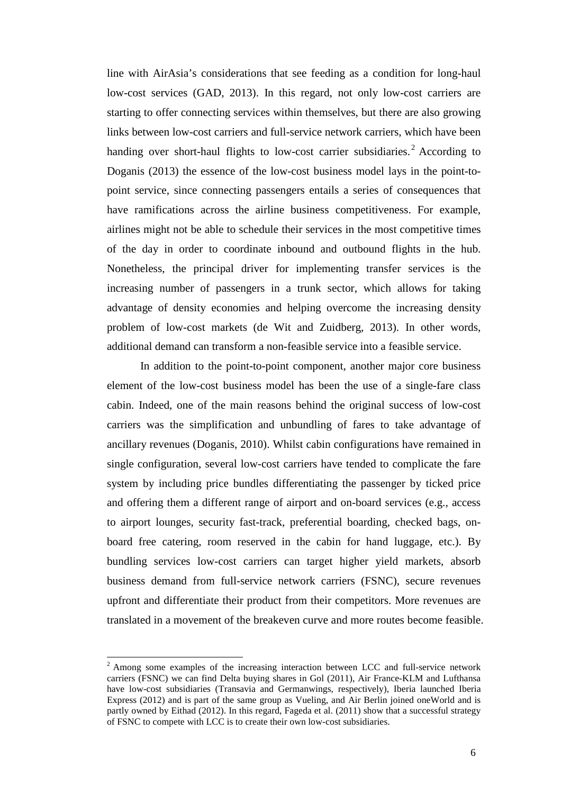line with AirAsia's considerations that see feeding as a condition for long-haul low-cost services (GAD, 2013). In this regard, not only low-cost carriers are starting to offer connecting services within themselves, but there are also growing links between low-cost carriers and full-service network carriers, which have been handing over short-haul flights to low-cost carrier subsidiaries.<sup>2</sup> According to Doganis (2013) the essence of the low-cost business model lays in the point-topoint service, since connecting passengers entails a series of consequences that have ramifications across the airline business competitiveness. For example, airlines might not be able to schedule their services in the most competitive times of the day in order to coordinate inbound and outbound flights in the hub. Nonetheless, the principal driver for implementing transfer services is the increasing number of passengers in a trunk sector, which allows for taking advantage of density economies and helping overcome the increasing density problem of low-cost markets (de Wit and Zuidberg, 2013). In other words, additional demand can transform a non-feasible service into a feasible service.

In addition to the point-to-point component, another major core business element of the low-cost business model has been the use of a single-fare class cabin. Indeed, one of the main reasons behind the original success of low-cost carriers was the simplification and unbundling of fares to take advantage of ancillary revenues (Doganis, 2010). Whilst cabin configurations have remained in single configuration, several low-cost carriers have tended to complicate the fare system by including price bundles differentiating the passenger by ticked price and offering them a different range of airport and on-board services (e.g., access to airport lounges, security fast-track, preferential boarding, checked bags, onboard free catering, room reserved in the cabin for hand luggage, etc.). By bundling services low-cost carriers can target higher yield markets, absorb business demand from full-service network carriers (FSNC), secure revenues upfront and differentiate their product from their competitors. More revenues are translated in a movement of the breakeven curve and more routes become feasible.

l

 $2$  Among some examples of the increasing interaction between LCC and full-service network carriers (FSNC) we can find Delta buying shares in Gol (2011), Air France-KLM and Lufthansa have low-cost subsidiaries (Transavia and Germanwings, respectively), Iberia launched Iberia Express (2012) and is part of the same group as Vueling, and Air Berlin joined oneWorld and is partly owned by Eithad (2012). In this regard, Fageda et al. (2011) show that a successful strategy of FSNC to compete with LCC is to create their own low-cost subsidiaries.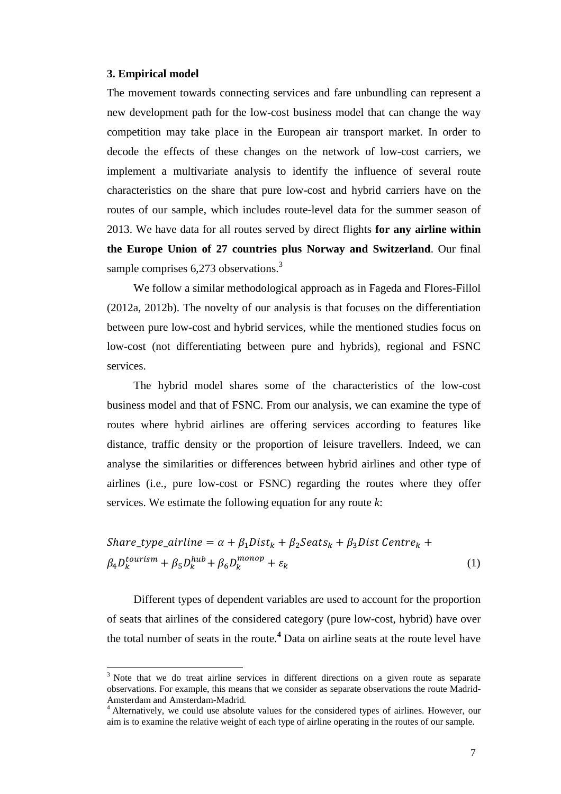#### **3. Empirical model**

l

The movement towards connecting services and fare unbundling can represent a new development path for the low-cost business model that can change the way competition may take place in the European air transport market. In order to decode the effects of these changes on the network of low-cost carriers, we implement a multivariate analysis to identify the influence of several route characteristics on the share that pure low-cost and hybrid carriers have on the routes of our sample, which includes route-level data for the summer season of 2013. We have data for all routes served by direct flights **for any airline within the Europe Union of 27 countries plus Norway and Switzerland**. Our final sample comprises  $6,273$  observations.<sup>3</sup>

We follow a similar methodological approach as in Fageda and Flores-Fillol (2012a, 2012b). The novelty of our analysis is that focuses on the differentiation between pure low-cost and hybrid services, while the mentioned studies focus on low-cost (not differentiating between pure and hybrids), regional and FSNC services.

The hybrid model shares some of the characteristics of the low-cost business model and that of FSNC. From our analysis, we can examine the type of routes where hybrid airlines are offering services according to features like distance, traffic density or the proportion of leisure travellers. Indeed, we can analyse the similarities or differences between hybrid airlines and other type of airlines (i.e., pure low-cost or FSNC) regarding the routes where they offer services. We estimate the following equation for any route *k*:

Share\_type\_airline =  $\alpha + \beta_1 Dist_k + \beta_2 Seats_k + \beta_3 Dist Centre_k +$  $\beta_4 D_k^{tourism} + \beta_5 D_k^{hub} + \beta_6 D_k^{mono} + \varepsilon_k$  (1)

Different types of dependent variables are used to account for the proportion of seats that airlines of the considered category (pure low-cost, hybrid) have over the total number of seats in the route.**<sup>4</sup>** Data on airline seats at the route level have

 $3$  Note that we do treat airline services in different directions on a given route as separate observations. For example, this means that we consider as separate observations the route Madrid-Amsterdam and Amsterdam-Madrid.

<sup>&</sup>lt;sup>4</sup> Alternatively, we could use absolute values for the considered types of airlines. However, our aim is to examine the relative weight of each type of airline operating in the routes of our sample.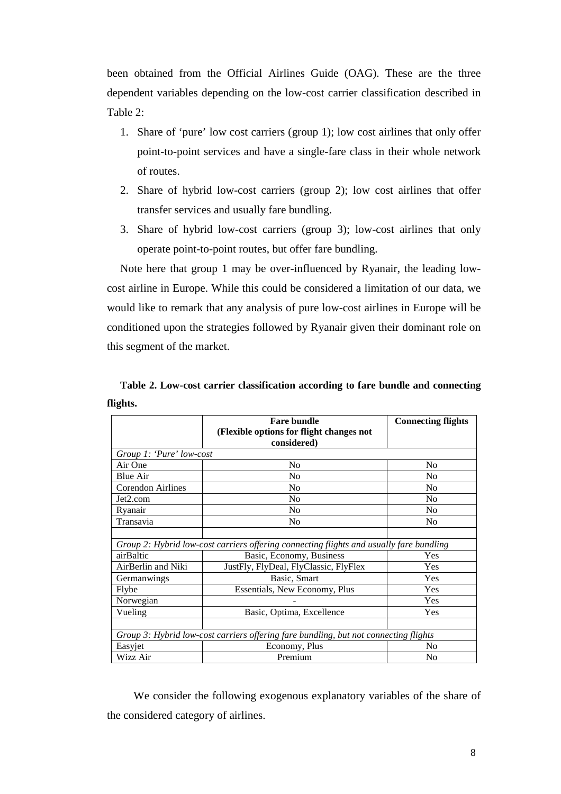been obtained from the Official Airlines Guide (OAG). These are the three dependent variables depending on the low-cost carrier classification described in Table 2:

- 1. Share of 'pure' low cost carriers (group 1); low cost airlines that only offer point-to-point services and have a single-fare class in their whole network of routes.
- 2. Share of hybrid low-cost carriers (group 2); low cost airlines that offer transfer services and usually fare bundling.
- 3. Share of hybrid low-cost carriers (group 3); low-cost airlines that only operate point-to-point routes, but offer fare bundling.

Note here that group 1 may be over-influenced by Ryanair, the leading lowcost airline in Europe. While this could be considered a limitation of our data, we would like to remark that any analysis of pure low-cost airlines in Europe will be conditioned upon the strategies followed by Ryanair given their dominant role on this segment of the market.

|                                                                                      | <b>Fare bundle</b><br>(Flexible options for flight changes not<br>considered)           | <b>Connecting flights</b> |  |
|--------------------------------------------------------------------------------------|-----------------------------------------------------------------------------------------|---------------------------|--|
| Group 1: 'Pure' low-cost                                                             |                                                                                         |                           |  |
| Air One                                                                              | N <sub>0</sub>                                                                          | N <sub>0</sub>            |  |
| <b>Blue Air</b>                                                                      | No                                                                                      | N <sub>0</sub>            |  |
| <b>Corendon Airlines</b>                                                             | N <sub>0</sub>                                                                          | N <sub>0</sub>            |  |
| Jet2.com                                                                             | N <sub>o</sub>                                                                          | N <sub>0</sub>            |  |
| Ryanair                                                                              | N <sub>0</sub>                                                                          | N <sub>0</sub>            |  |
| Transavia                                                                            | No                                                                                      | N <sub>0</sub>            |  |
|                                                                                      |                                                                                         |                           |  |
|                                                                                      | Group 2: Hybrid low-cost carriers offering connecting flights and usually fare bundling |                           |  |
| airBaltic                                                                            | Basic, Economy, Business                                                                | Yes                       |  |
| AirBerlin and Niki                                                                   | JustFly, FlyDeal, FlyClassic, FlyFlex                                                   | Yes                       |  |
| Germanwings                                                                          | Basic, Smart                                                                            | Yes                       |  |
| Flybe                                                                                | Essentials, New Economy, Plus                                                           | Yes                       |  |
| Norwegian                                                                            |                                                                                         | Yes                       |  |
| Vueling                                                                              | Basic, Optima, Excellence                                                               | Yes                       |  |
|                                                                                      |                                                                                         |                           |  |
| Group 3: Hybrid low-cost carriers offering fare bundling, but not connecting flights |                                                                                         |                           |  |
| Easyjet                                                                              | Economy, Plus                                                                           | No                        |  |
| Wizz Air                                                                             | Premium                                                                                 | N <sub>0</sub>            |  |

**Table 2. Low-cost carrier classification according to fare bundle and connecting flights.** 

We consider the following exogenous explanatory variables of the share of the considered category of airlines.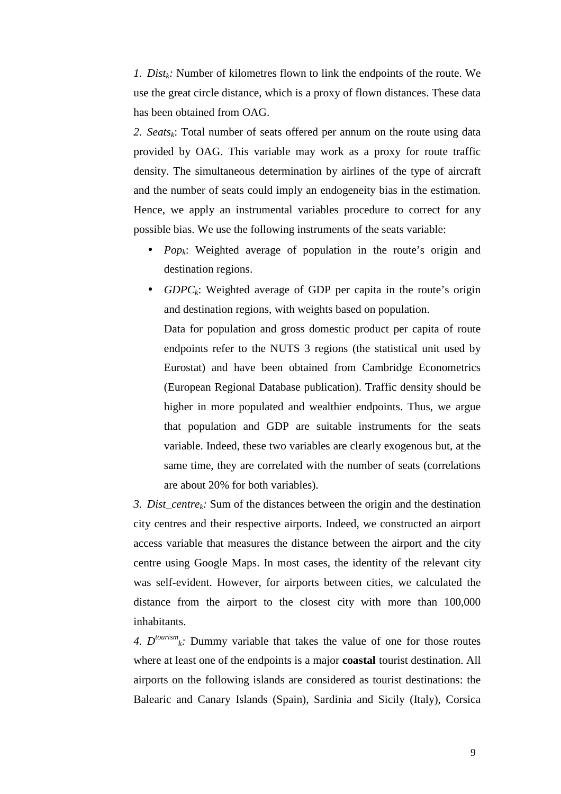*1. Distk:* Number of kilometres flown to link the endpoints of the route. We use the great circle distance, which is a proxy of flown distances. These data has been obtained from OAG.

*2. Seatsk*: Total number of seats offered per annum on the route using data provided by OAG. This variable may work as a proxy for route traffic density. The simultaneous determination by airlines of the type of aircraft and the number of seats could imply an endogeneity bias in the estimation. Hence, we apply an instrumental variables procedure to correct for any possible bias. We use the following instruments of the seats variable:

- *Popk*: Weighted average of population in the route's origin and destination regions.
- *GDPC<sub>k</sub>*: Weighted average of GDP per capita in the route's origin and destination regions, with weights based on population. Data for population and gross domestic product per capita of route endpoints refer to the NUTS 3 regions (the statistical unit used by Eurostat) and have been obtained from Cambridge Econometrics (European Regional Database publication). Traffic density should be higher in more populated and wealthier endpoints. Thus, we argue that population and GDP are suitable instruments for the seats variable. Indeed, these two variables are clearly exogenous but, at the same time, they are correlated with the number of seats (correlations are about 20% for both variables).

*3. Dist\_centrek:* Sum of the distances between the origin and the destination city centres and their respective airports. Indeed, we constructed an airport access variable that measures the distance between the airport and the city centre using Google Maps. In most cases, the identity of the relevant city was self-evident. However, for airports between cities, we calculated the distance from the airport to the closest city with more than 100,000 inhabitants.

4.  $D^{tourism}$ <sub>k</sub>: Dummy variable that takes the value of one for those routes where at least one of the endpoints is a major **coastal** tourist destination. All airports on the following islands are considered as tourist destinations: the Balearic and Canary Islands (Spain), Sardinia and Sicily (Italy), Corsica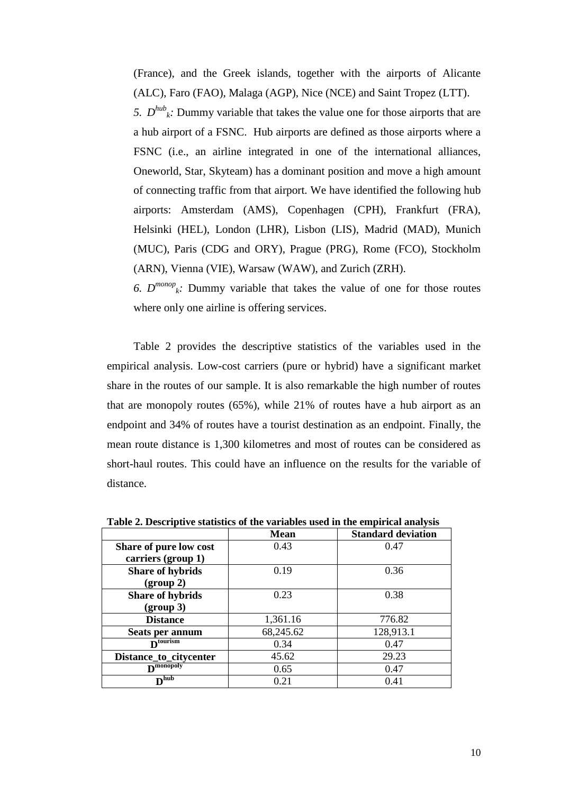(France), and the Greek islands, together with the airports of Alicante (ALC), Faro (FAO), Malaga (AGP), Nice (NCE) and Saint Tropez (LTT).

5.  $D^{hub}_{k}$ : Dummy variable that takes the value one for those airports that are a hub airport of a FSNC. Hub airports are defined as those airports where a FSNC (i.e., an airline integrated in one of the international alliances, Oneworld, Star, Skyteam) has a dominant position and move a high amount of connecting traffic from that airport. We have identified the following hub airports: Amsterdam (AMS), Copenhagen (CPH), Frankfurt (FRA), Helsinki (HEL), London (LHR), Lisbon (LIS), Madrid (MAD), Munich (MUC), Paris (CDG and ORY), Prague (PRG), Rome (FCO), Stockholm (ARN), Vienna (VIE), Warsaw (WAW), and Zurich (ZRH).

6.  $D^{money}$ <sup>k</sup>: Dummy variable that takes the value of one for those routes where only one airline is offering services.

Table 2 provides the descriptive statistics of the variables used in the empirical analysis. Low-cost carriers (pure or hybrid) have a significant market share in the routes of our sample. It is also remarkable the high number of routes that are monopoly routes (65%), while 21% of routes have a hub airport as an endpoint and 34% of routes have a tourist destination as an endpoint. Finally, the mean route distance is 1,300 kilometres and most of routes can be considered as short-haul routes. This could have an influence on the results for the variable of distance.

|                               | <b>Mean</b> | <b>Standard deviation</b> |
|-------------------------------|-------------|---------------------------|
| Share of pure low cost        | 0.43        | 0.47                      |
| carriers (group 1)            |             |                           |
| <b>Share of hybrids</b>       | 0.19        | 0.36                      |
| (group 2)                     |             |                           |
| <b>Share of hybrids</b>       | 0.23        | 0.38                      |
| (group 3)                     |             |                           |
| <b>Distance</b>               | 1,361.16    | 776.82                    |
| Seats per annum               | 68,245.62   | 128,913.1                 |
| $\mathbf{D}^{\text{tourism}}$ | 0.34        | 0.47                      |
| Distance_to_citycenter        | 45.62       | 29.23                     |
| $D^{\text{monopoly}}$         | 0.65        | 0.47                      |
| $D^{\overline{\text{hub}}}$   | 0.21        | 0.41                      |

**Table 2. Descriptive statistics of the variables used in the empirical analysis**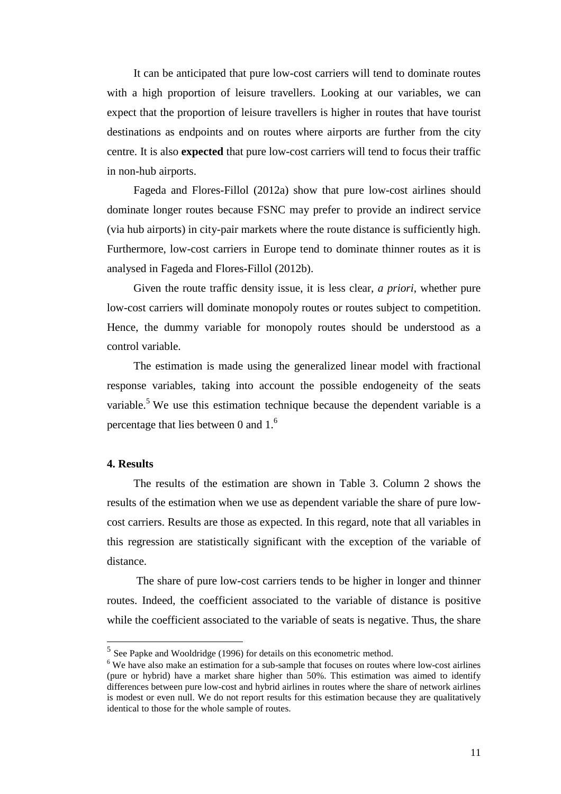It can be anticipated that pure low-cost carriers will tend to dominate routes with a high proportion of leisure travellers. Looking at our variables, we can expect that the proportion of leisure travellers is higher in routes that have tourist destinations as endpoints and on routes where airports are further from the city centre. It is also **expected** that pure low-cost carriers will tend to focus their traffic in non-hub airports.

Fageda and Flores-Fillol (2012a) show that pure low-cost airlines should dominate longer routes because FSNC may prefer to provide an indirect service (via hub airports) in city-pair markets where the route distance is sufficiently high. Furthermore, low-cost carriers in Europe tend to dominate thinner routes as it is analysed in Fageda and Flores-Fillol (2012b).

Given the route traffic density issue, it is less clear, *a priori*, whether pure low-cost carriers will dominate monopoly routes or routes subject to competition. Hence, the dummy variable for monopoly routes should be understood as a control variable.

The estimation is made using the generalized linear model with fractional response variables, taking into account the possible endogeneity of the seats variable.<sup>5</sup> We use this estimation technique because the dependent variable is a percentage that lies between 0 and  $1<sup>6</sup>$ 

## **4. Results**

 $\overline{a}$ 

The results of the estimation are shown in Table 3. Column 2 shows the results of the estimation when we use as dependent variable the share of pure lowcost carriers. Results are those as expected. In this regard, note that all variables in this regression are statistically significant with the exception of the variable of distance.

 The share of pure low-cost carriers tends to be higher in longer and thinner routes. Indeed, the coefficient associated to the variable of distance is positive while the coefficient associated to the variable of seats is negative. Thus, the share

<sup>&</sup>lt;sup>5</sup> See Papke and Wooldridge (1996) for details on this econometric method.

<sup>&</sup>lt;sup>6</sup> We have also make an estimation for a sub-sample that focuses on routes where low-cost airlines (pure or hybrid) have a market share higher than 50%. This estimation was aimed to identify differences between pure low-cost and hybrid airlines in routes where the share of network airlines is modest or even null. We do not report results for this estimation because they are qualitatively identical to those for the whole sample of routes.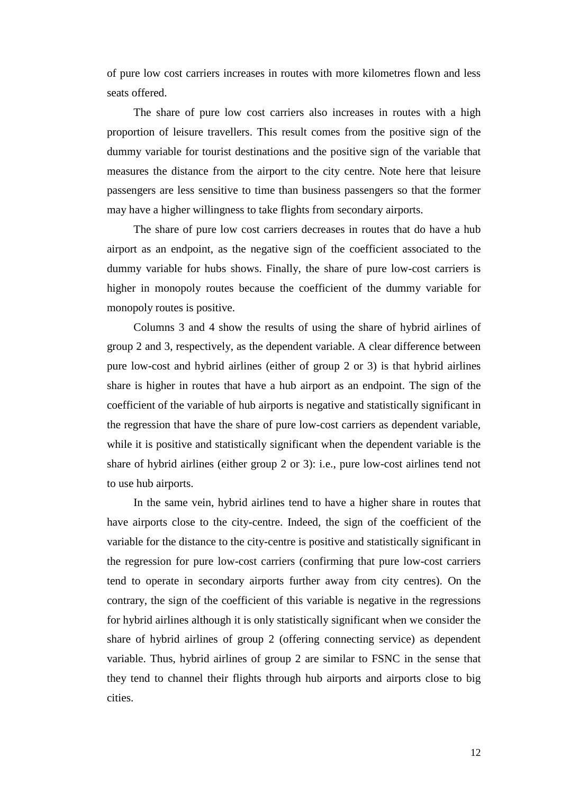of pure low cost carriers increases in routes with more kilometres flown and less seats offered.

The share of pure low cost carriers also increases in routes with a high proportion of leisure travellers. This result comes from the positive sign of the dummy variable for tourist destinations and the positive sign of the variable that measures the distance from the airport to the city centre. Note here that leisure passengers are less sensitive to time than business passengers so that the former may have a higher willingness to take flights from secondary airports.

The share of pure low cost carriers decreases in routes that do have a hub airport as an endpoint, as the negative sign of the coefficient associated to the dummy variable for hubs shows. Finally, the share of pure low-cost carriers is higher in monopoly routes because the coefficient of the dummy variable for monopoly routes is positive.

Columns 3 and 4 show the results of using the share of hybrid airlines of group 2 and 3, respectively, as the dependent variable. A clear difference between pure low-cost and hybrid airlines (either of group 2 or 3) is that hybrid airlines share is higher in routes that have a hub airport as an endpoint. The sign of the coefficient of the variable of hub airports is negative and statistically significant in the regression that have the share of pure low-cost carriers as dependent variable, while it is positive and statistically significant when the dependent variable is the share of hybrid airlines (either group 2 or 3): i.e., pure low-cost airlines tend not to use hub airports.

In the same vein, hybrid airlines tend to have a higher share in routes that have airports close to the city-centre. Indeed, the sign of the coefficient of the variable for the distance to the city-centre is positive and statistically significant in the regression for pure low-cost carriers (confirming that pure low-cost carriers tend to operate in secondary airports further away from city centres). On the contrary, the sign of the coefficient of this variable is negative in the regressions for hybrid airlines although it is only statistically significant when we consider the share of hybrid airlines of group 2 (offering connecting service) as dependent variable. Thus, hybrid airlines of group 2 are similar to FSNC in the sense that they tend to channel their flights through hub airports and airports close to big cities.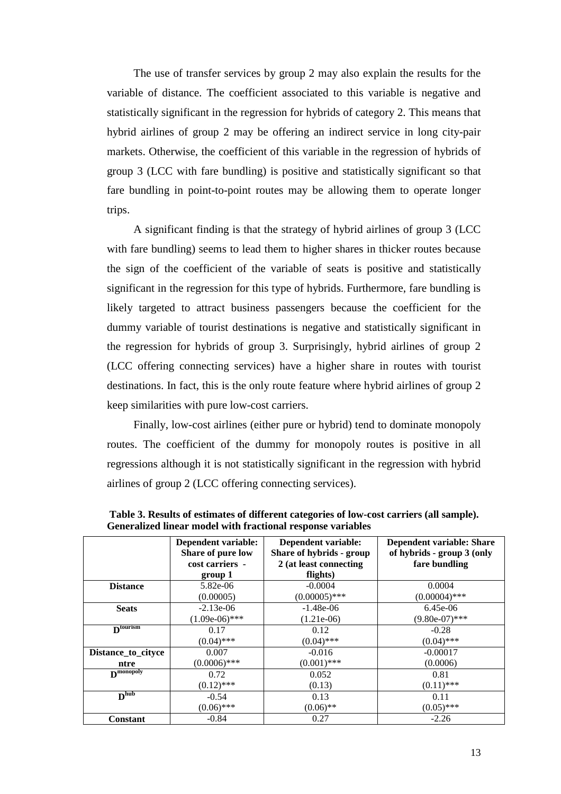The use of transfer services by group 2 may also explain the results for the variable of distance. The coefficient associated to this variable is negative and statistically significant in the regression for hybrids of category 2. This means that hybrid airlines of group 2 may be offering an indirect service in long city-pair markets. Otherwise, the coefficient of this variable in the regression of hybrids of group 3 (LCC with fare bundling) is positive and statistically significant so that fare bundling in point-to-point routes may be allowing them to operate longer trips.

A significant finding is that the strategy of hybrid airlines of group 3 (LCC with fare bundling) seems to lead them to higher shares in thicker routes because the sign of the coefficient of the variable of seats is positive and statistically significant in the regression for this type of hybrids. Furthermore, fare bundling is likely targeted to attract business passengers because the coefficient for the dummy variable of tourist destinations is negative and statistically significant in the regression for hybrids of group 3. Surprisingly, hybrid airlines of group 2 (LCC offering connecting services) have a higher share in routes with tourist destinations. In fact, this is the only route feature where hybrid airlines of group 2 keep similarities with pure low-cost carriers.

Finally, low-cost airlines (either pure or hybrid) tend to dominate monopoly routes. The coefficient of the dummy for monopoly routes is positive in all regressions although it is not statistically significant in the regression with hybrid airlines of group 2 (LCC offering connecting services).

|                                      | Dependent variable:<br>Share of pure low<br>cost carriers -<br>group 1 | Dependent variable:<br>Share of hybrids - group<br>2 (at least connecting<br>flights) | Dependent variable: Share<br>of hybrids - group 3 (only<br>fare bundling |
|--------------------------------------|------------------------------------------------------------------------|---------------------------------------------------------------------------------------|--------------------------------------------------------------------------|
| <b>Distance</b>                      | 5.82e-06                                                               | $-0.0004$                                                                             | 0.0004                                                                   |
|                                      | (0.00005)                                                              | $(0.00005)$ ***                                                                       | $(0.00004)$ ***                                                          |
| <b>Seats</b>                         | $-2.13e-06$                                                            | $-1.48e-06$                                                                           | $6.45e-06$                                                               |
|                                      | $(1.09e-06)$ ***                                                       | $(1.21e-06)$                                                                          | $(9.80e-07)$ ***                                                         |
| $D^{tourism}$                        | 0.17                                                                   | 0.12                                                                                  | $-0.28$                                                                  |
|                                      | $(0.04)$ ***                                                           | $(0.04)$ ***                                                                          | $(0.04)$ ***                                                             |
| Distance_to_cityce                   | 0.007                                                                  | $-0.016$                                                                              | $-0.00017$                                                               |
| ntre                                 | $(0.0006)$ ***                                                         | $(0.001)$ ***                                                                         | (0.0006)                                                                 |
| $\mathbf{D}^{\text{monopoly}}$       | 0.72                                                                   | 0.052                                                                                 | 0.81                                                                     |
|                                      | $(0.12)$ ***                                                           | (0.13)                                                                                | $(0.11)$ ***                                                             |
| $\overline{\mathbf{D}^{\text{hub}}}$ | $-0.54$                                                                | 0.13                                                                                  | 0.11                                                                     |
|                                      | $(0.06)$ ***                                                           | $(0.06)$ **                                                                           | $(0.05)$ ***                                                             |
| <b>Constant</b>                      | $-0.84$                                                                | 0.27                                                                                  | $-2.26$                                                                  |

 **Table 3. Results of estimates of different categories of low-cost carriers (all sample). Generalized linear model with fractional response variables**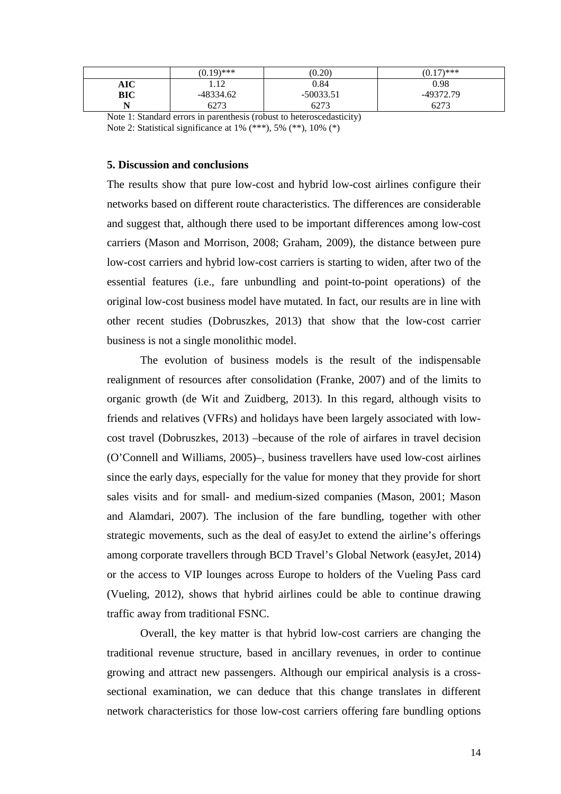|     | $(0.19)$ *** | (0.20)      | $(0.17)$ *** |
|-----|--------------|-------------|--------------|
| AIC | 12<br>.      | 0.84        | 0.98         |
| BIC | -48334.62    | $-50033.51$ | -49372.79    |
| . . | 6273         | 6273        | 6273         |

Note 1: Standard errors in parenthesis (robust to heteroscedasticity) Note 2: Statistical significance at 1% (\*\*\*), 5% (\*\*), 10% (\*)

# **5. Discussion and conclusions**

The results show that pure low-cost and hybrid low-cost airlines configure their networks based on different route characteristics. The differences are considerable and suggest that, although there used to be important differences among low-cost carriers (Mason and Morrison, 2008; Graham, 2009), the distance between pure low-cost carriers and hybrid low-cost carriers is starting to widen, after two of the essential features (i.e., fare unbundling and point-to-point operations) of the original low-cost business model have mutated. In fact, our results are in line with other recent studies (Dobruszkes, 2013) that show that the low-cost carrier business is not a single monolithic model.

The evolution of business models is the result of the indispensable realignment of resources after consolidation (Franke, 2007) and of the limits to organic growth (de Wit and Zuidberg, 2013). In this regard, although visits to friends and relatives (VFRs) and holidays have been largely associated with lowcost travel (Dobruszkes, 2013) –because of the role of airfares in travel decision (O'Connell and Williams, 2005)–, business travellers have used low-cost airlines since the early days, especially for the value for money that they provide for short sales visits and for small- and medium-sized companies (Mason, 2001; Mason and Alamdari, 2007). The inclusion of the fare bundling, together with other strategic movements, such as the deal of easyJet to extend the airline's offerings among corporate travellers through BCD Travel's Global Network (easyJet, 2014) or the access to VIP lounges across Europe to holders of the Vueling Pass card (Vueling, 2012), shows that hybrid airlines could be able to continue drawing traffic away from traditional FSNC.

Overall, the key matter is that hybrid low-cost carriers are changing the traditional revenue structure, based in ancillary revenues, in order to continue growing and attract new passengers. Although our empirical analysis is a crosssectional examination, we can deduce that this change translates in different network characteristics for those low-cost carriers offering fare bundling options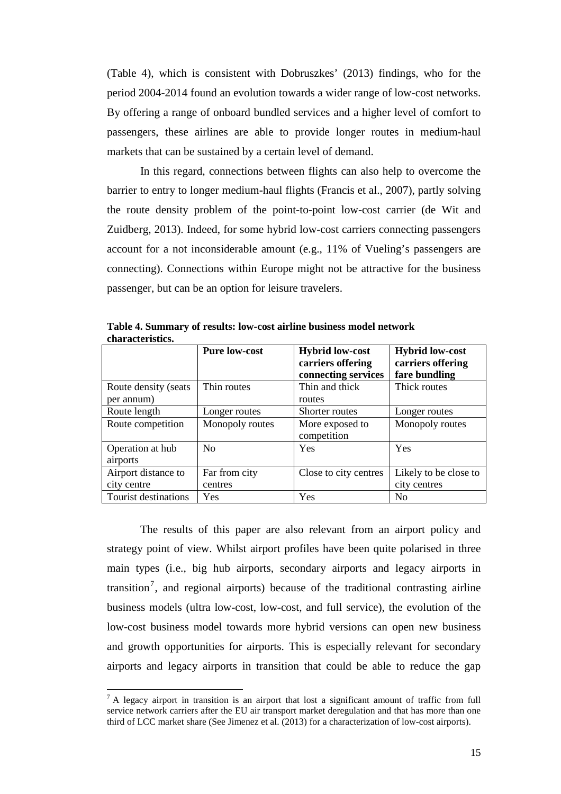(Table 4), which is consistent with Dobruszkes' (2013) findings, who for the period 2004-2014 found an evolution towards a wider range of low-cost networks. By offering a range of onboard bundled services and a higher level of comfort to passengers, these airlines are able to provide longer routes in medium-haul markets that can be sustained by a certain level of demand.

In this regard, connections between flights can also help to overcome the barrier to entry to longer medium-haul flights (Francis et al., 2007), partly solving the route density problem of the point-to-point low-cost carrier (de Wit and Zuidberg, 2013). Indeed, for some hybrid low-cost carriers connecting passengers account for a not inconsiderable amount (e.g., 11% of Vueling's passengers are connecting). Connections within Europe might not be attractive for the business passenger, but can be an option for leisure travelers.

|                       | <b>Pure low-cost</b> | <b>Hybrid low-cost</b><br>carriers offering | <b>Hybrid low-cost</b><br>carriers offering |
|-----------------------|----------------------|---------------------------------------------|---------------------------------------------|
|                       |                      | connecting services                         | fare bundling                               |
| Route density (seats) | Thin routes          | Thin and thick                              | Thick routes                                |
| per annum)            |                      | routes                                      |                                             |
| Route length          | Longer routes        | Shorter routes                              | Longer routes                               |
| Route competition     | Monopoly routes      | More exposed to                             | Monopoly routes                             |
|                       |                      | competition                                 |                                             |
| Operation at hub      | N <sub>0</sub>       | Yes                                         | Yes                                         |
| airports              |                      |                                             |                                             |
| Airport distance to   | Far from city        | Close to city centres                       | Likely to be close to                       |
| city centre           | centres              |                                             | city centres                                |
| Tourist destinations  | Yes                  | Yes                                         | N <sub>0</sub>                              |

**Table 4. Summary of results: low-cost airline business model network characteristics.**

The results of this paper are also relevant from an airport policy and strategy point of view. Whilst airport profiles have been quite polarised in three main types (i.e., big hub airports, secondary airports and legacy airports in transition<sup>7</sup>, and regional airports) because of the traditional contrasting airline business models (ultra low-cost, low-cost, and full service), the evolution of the low-cost business model towards more hybrid versions can open new business and growth opportunities for airports. This is especially relevant for secondary airports and legacy airports in transition that could be able to reduce the gap

 $\overline{a}$ 

 $<sup>7</sup>$  A legacy airport in transition is an airport that lost a significant amount of traffic from full</sup> service network carriers after the EU air transport market deregulation and that has more than one third of LCC market share (See Jimenez et al. (2013) for a characterization of low-cost airports).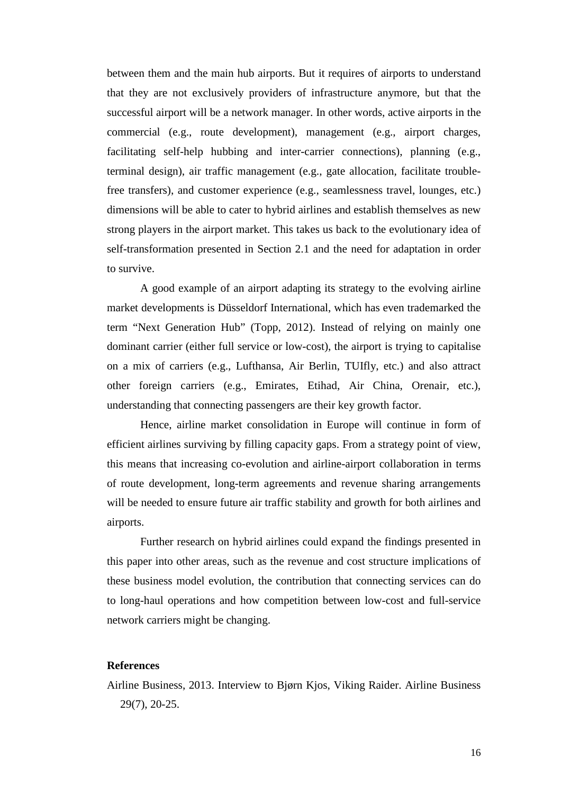between them and the main hub airports. But it requires of airports to understand that they are not exclusively providers of infrastructure anymore, but that the successful airport will be a network manager. In other words, active airports in the commercial (e.g., route development), management (e.g., airport charges, facilitating self-help hubbing and inter-carrier connections), planning (e.g., terminal design), air traffic management (e.g., gate allocation, facilitate troublefree transfers), and customer experience (e.g., seamlessness travel, lounges, etc.) dimensions will be able to cater to hybrid airlines and establish themselves as new strong players in the airport market. This takes us back to the evolutionary idea of self-transformation presented in Section 2.1 and the need for adaptation in order to survive.

A good example of an airport adapting its strategy to the evolving airline market developments is Düsseldorf International, which has even trademarked the term "Next Generation Hub" (Topp, 2012). Instead of relying on mainly one dominant carrier (either full service or low-cost), the airport is trying to capitalise on a mix of carriers (e.g., Lufthansa, Air Berlin, TUIfly, etc.) and also attract other foreign carriers (e.g., Emirates, Etihad, Air China, Orenair, etc.), understanding that connecting passengers are their key growth factor.

Hence, airline market consolidation in Europe will continue in form of efficient airlines surviving by filling capacity gaps. From a strategy point of view, this means that increasing co-evolution and airline-airport collaboration in terms of route development, long-term agreements and revenue sharing arrangements will be needed to ensure future air traffic stability and growth for both airlines and airports.

Further research on hybrid airlines could expand the findings presented in this paper into other areas, such as the revenue and cost structure implications of these business model evolution, the contribution that connecting services can do to long-haul operations and how competition between low-cost and full-service network carriers might be changing.

# **References**

Airline Business, 2013. Interview to Bjørn Kjos, Viking Raider. Airline Business 29(7), 20-25.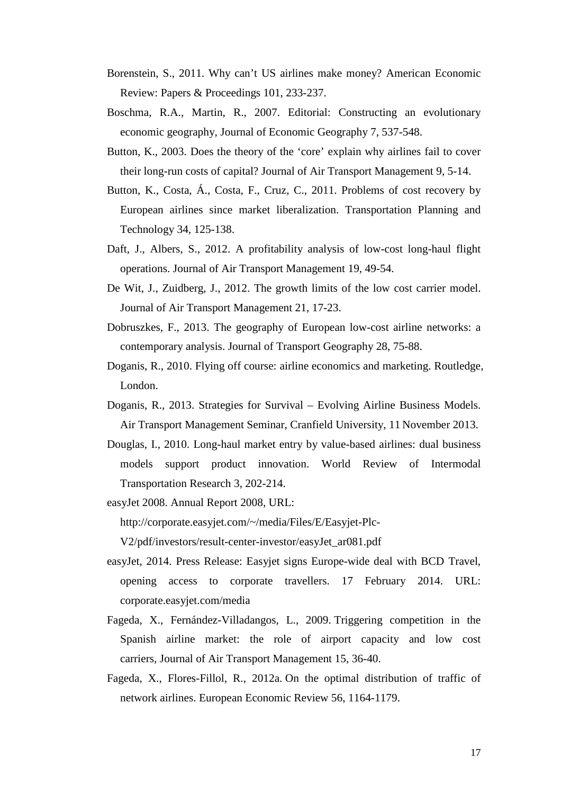- Borenstein, S., 2011. Why can't US airlines make money? American Economic Review: Papers & Proceedings 101, 233-237.
- Boschma, R.A., Martin, R., 2007. Editorial: Constructing an evolutionary economic geography, Journal of Economic Geography 7, 537-548.
- Button, K., 2003. Does the theory of the 'core' explain why airlines fail to cover their long-run costs of capital? Journal of Air Transport Management 9, 5-14.
- Button, K., Costa, Á., Costa, F., Cruz, C., 2011. Problems of cost recovery by European airlines since market liberalization. Transportation Planning and Technology 34, 125-138.
- Daft, J., Albers, S., 2012. A profitability analysis of low-cost long-haul flight operations. Journal of Air Transport Management 19, 49-54.
- De Wit, J., Zuidberg, J., 2012. The growth limits of the low cost carrier model. Journal of Air Transport Management 21, 17-23.
- Dobruszkes, F., 2013. The geography of European low-cost airline networks: a contemporary analysis. Journal of Transport Geography 28, 75-88.
- Doganis, R., 2010. Flying off course: airline economics and marketing. Routledge, London.
- Doganis, R., 2013. Strategies for Survival Evolving Airline Business Models. Air Transport Management Seminar, Cranfield University, 11 November 2013.
- Douglas, I., 2010. Long-haul market entry by value-based airlines: dual business models support product innovation. World Review of Intermodal Transportation Research 3, 202-214.
- easyJet 2008. Annual Report 2008, URL:

http://corporate.easyjet.com/~/media/Files/E/Easyjet-Plc-

V2/pdf/investors/result-center-investor/easyJet\_ar081.pdf

- easyJet, 2014. Press Release: Easyjet signs Europe-wide deal with BCD Travel, opening access to corporate travellers. 17 February 2014. URL: corporate.easyjet.com/media
- Fageda, X., Fernández-Villadangos, L., 2009. Triggering competition in the Spanish airline market: the role of airport capacity and low cost carriers, Journal of Air Transport Management 15, 36-40.
- Fageda, X., Flores-Fillol, R., 2012a. On the optimal distribution of traffic of network airlines. European Economic Review 56, 1164-1179.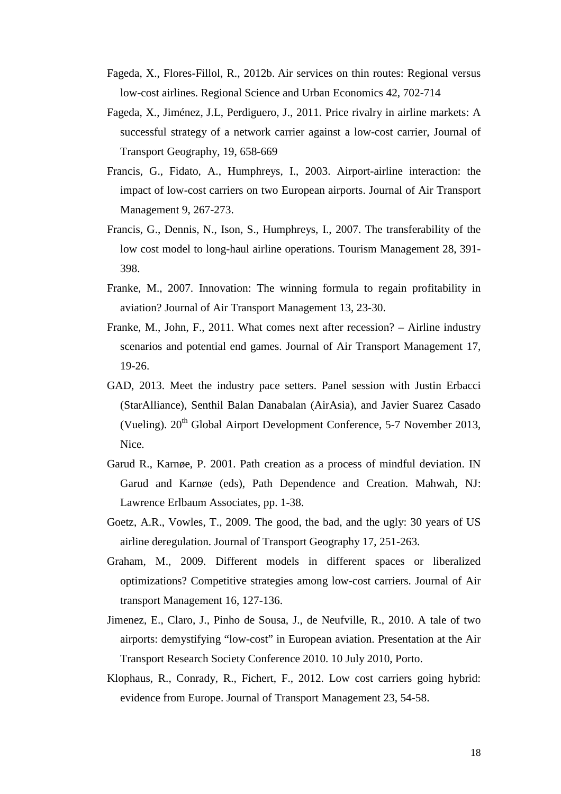- Fageda, X., Flores-Fillol, R., 2012b. Air services on thin routes: Regional versus low-cost airlines. Regional Science and Urban Economics 42, 702-714
- Fageda, X., Jiménez, J.L, Perdiguero, J., 2011. Price rivalry in airline markets: A successful strategy of a network carrier against a low-cost carrier, Journal of Transport Geography, 19, 658-669
- Francis, G., Fidato, A., Humphreys, I., 2003. Airport-airline interaction: the impact of low-cost carriers on two European airports. Journal of Air Transport Management 9, 267-273.
- Francis, G., Dennis, N., Ison, S., Humphreys, I., 2007. The transferability of the low cost model to long-haul airline operations. Tourism Management 28, 391- 398.
- Franke, M., 2007. Innovation: The winning formula to regain profitability in aviation? Journal of Air Transport Management 13, 23-30.
- Franke, M., John, F., 2011. What comes next after recession? Airline industry scenarios and potential end games. Journal of Air Transport Management 17, 19-26.
- GAD, 2013. Meet the industry pace setters. Panel session with Justin Erbacci (StarAlliance), Senthil Balan Danabalan (AirAsia), and Javier Suarez Casado (Vueling).  $20^{th}$  Global Airport Development Conference, 5-7 November 2013, Nice.
- Garud R., Karnøe, P. 2001. Path creation as a process of mindful deviation. IN Garud and Karnøe (eds), Path Dependence and Creation. Mahwah, NJ: Lawrence Erlbaum Associates, pp. 1-38.
- Goetz, A.R., Vowles, T., 2009. The good, the bad, and the ugly: 30 years of US airline deregulation. Journal of Transport Geography 17, 251-263.
- Graham, M., 2009. Different models in different spaces or liberalized optimizations? Competitive strategies among low-cost carriers. Journal of Air transport Management 16, 127-136.
- Jimenez, E., Claro, J., Pinho de Sousa, J., de Neufville, R., 2010. A tale of two airports: demystifying "low-cost" in European aviation. Presentation at the Air Transport Research Society Conference 2010. 10 July 2010, Porto.
- Klophaus, R., Conrady, R., Fichert, F., 2012. Low cost carriers going hybrid: evidence from Europe. Journal of Transport Management 23, 54-58.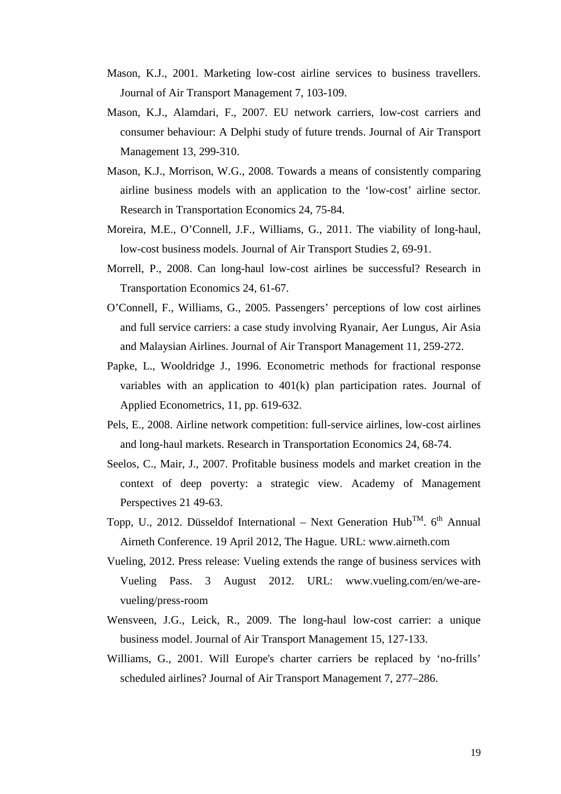- Mason, K.J., 2001. Marketing low-cost airline services to business travellers. Journal of Air Transport Management 7, 103-109.
- Mason, K.J., Alamdari, F., 2007. EU network carriers, low-cost carriers and consumer behaviour: A Delphi study of future trends. Journal of Air Transport Management 13, 299-310.
- Mason, K.J., Morrison, W.G., 2008. Towards a means of consistently comparing airline business models with an application to the 'low-cost' airline sector. Research in Transportation Economics 24, 75-84.
- Moreira, M.E., O'Connell, J.F., Williams, G., 2011. The viability of long-haul, low-cost business models. Journal of Air Transport Studies 2, 69-91.
- Morrell, P., 2008. Can long-haul low-cost airlines be successful? Research in Transportation Economics 24, 61-67.
- O'Connell, F., Williams, G., 2005. Passengers' perceptions of low cost airlines and full service carriers: a case study involving Ryanair, Aer Lungus, Air Asia and Malaysian Airlines. Journal of Air Transport Management 11, 259-272.
- Papke, L., Wooldridge J., 1996. Econometric methods for fractional response variables with an application to 401(k) plan participation rates. Journal of Applied Econometrics, 11, pp. 619-632.
- Pels, E., 2008. Airline network competition: full-service airlines, low-cost airlines and long-haul markets. Research in Transportation Economics 24, 68-74.
- Seelos, C., Mair, J., 2007. Profitable business models and market creation in the context of deep poverty: a strategic view. Academy of Management Perspectives 21 49-63.
- Topp, U., 2012. Düsseldof International Next Generation  $Hub^{TM}$ . 6<sup>th</sup> Annual Airneth Conference. 19 April 2012, The Hague. URL: www.airneth.com
- Vueling, 2012. Press release: Vueling extends the range of business services with Vueling Pass. 3 August 2012. URL: www.vueling.com/en/we-arevueling/press-room
- Wensveen, J.G., Leick, R., 2009. The long-haul low-cost carrier: a unique business model. Journal of Air Transport Management 15, 127-133.
- Williams, G., 2001. Will Europe's charter carriers be replaced by 'no-frills' scheduled airlines? Journal of Air Transport Management 7, 277–286.